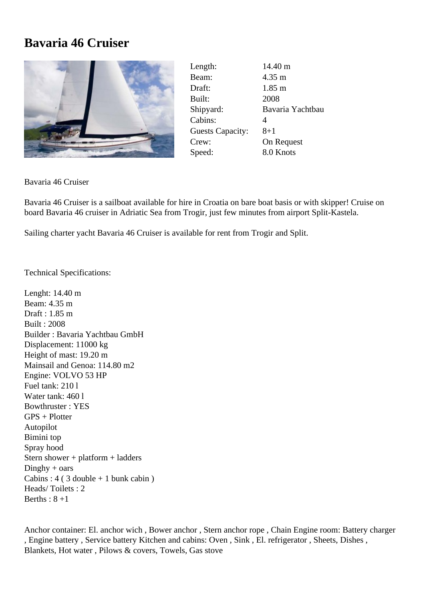## **Bavaria 46 Cruiser**



| Length:                 | 14.40 m              |
|-------------------------|----------------------|
| Beam:                   | $4.35 \text{ m}$     |
| Draft:                  | $1.85 \; \mathrm{m}$ |
| Built:                  | 2008                 |
| Shipyard:               | Bavaria Yachtbau     |
| Cabins:                 | 4                    |
| <b>Guests Capacity:</b> | 8+1                  |
| Crew:                   | On Request           |
| Speed:                  | 8.0 Knots            |

Bavaria 46 Cruiser

Bavaria 46 Cruiser is a sailboat available for hire in Croatia on bare boat basis or with skipper! Cruise on board Bavaria 46 cruiser in Adriatic Sea from Trogir, just few minutes from airport Split-Kastela.

Sailing charter yacht Bavaria 46 Cruiser is available for rent from Trogir and Split.

Technical Specifications:

Lenght: 14.40 m Beam: 4.35 m Draft : 1.85 m Built : 2008 Builder : Bavaria Yachtbau GmbH Displacement: 11000 kg Height of mast: 19.20 m Mainsail and Genoa: 114.80 m2 Engine: VOLVO 53 HP Fuel tank: 210 l Water tank: 460 l Bowthruster : YES GPS + Plotter Autopilot Bimini top Spray hood Stern shower + platform + ladders  $Dinghy + oars$ Cabins :  $4$  ( 3 double + 1 bunk cabin ) Heads/ Toilets : 2 Berths :  $8 + 1$ 

Anchor container: El. anchor wich , Bower anchor , Stern anchor rope , Chain Engine room: Battery charger , Engine battery , Service battery Kitchen and cabins: Oven , Sink , El. refrigerator , Sheets, Dishes , Blankets, Hot water , Pilows & covers, Towels, Gas stove